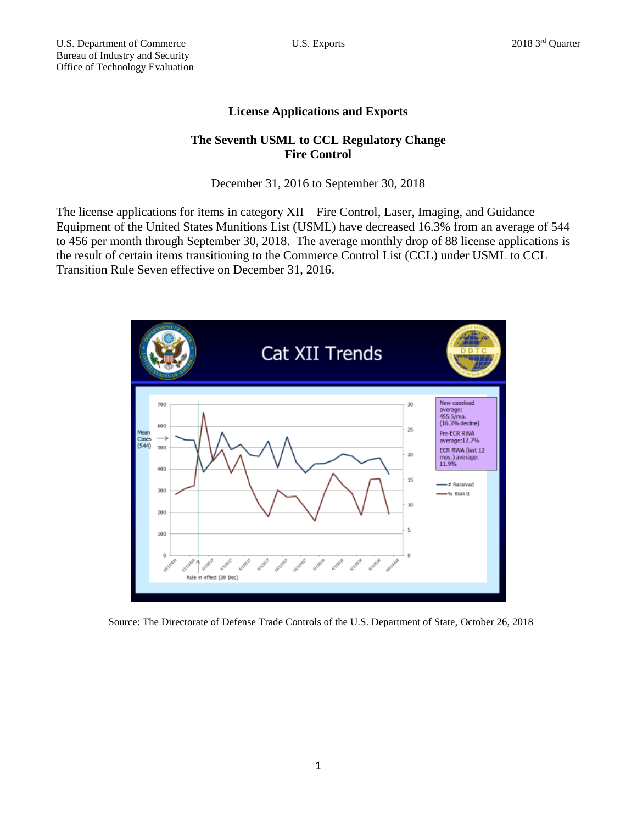## **License Applications and Exports**

## **The Seventh USML to CCL Regulatory Change Fire Control**

December 31, 2016 to September 30, 2018

The license applications for items in category XII – Fire Control, Laser, Imaging, and Guidance Equipment of the United States Munitions List (USML) have decreased 16.3% from an average of 544 to 456 per month through September 30, 2018. The average monthly drop of 88 license applications is the result of certain items transitioning to the Commerce Control List (CCL) under USML to CCL Transition Rule Seven effective on December 31, 2016.



Source: The Directorate of Defense Trade Controls of the U.S. Department of State, October 26, 2018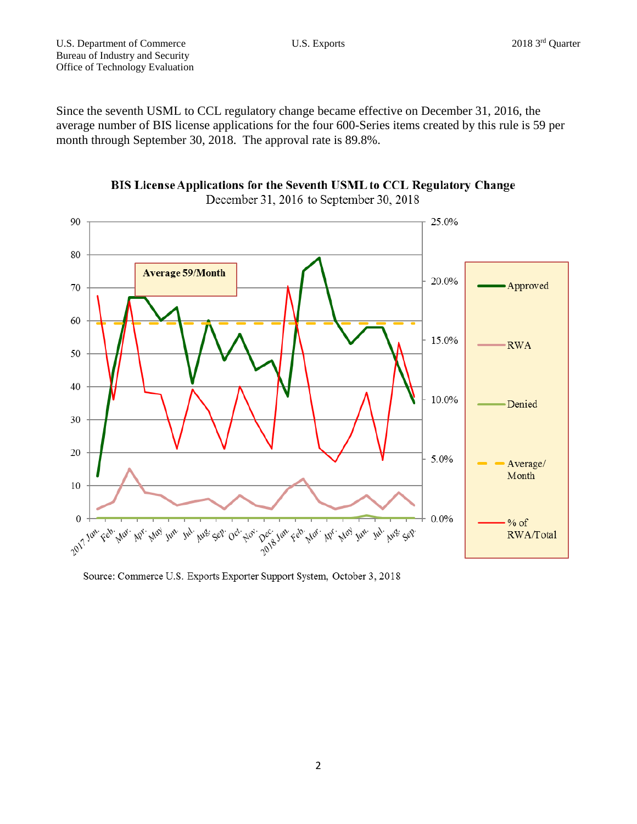Since the seventh USML to CCL regulatory change became effective on December 31, 2016, the average number of BIS license applications for the four 600-Series items created by this rule is 59 per month through September 30, 2018. The approval rate is 89.8%.



BIS License Applications for the Seventh USML to CCL Regulatory Change December 31, 2016 to September 30, 2018

Source: Commerce U.S. Exports Exporter Support System, October 3, 2018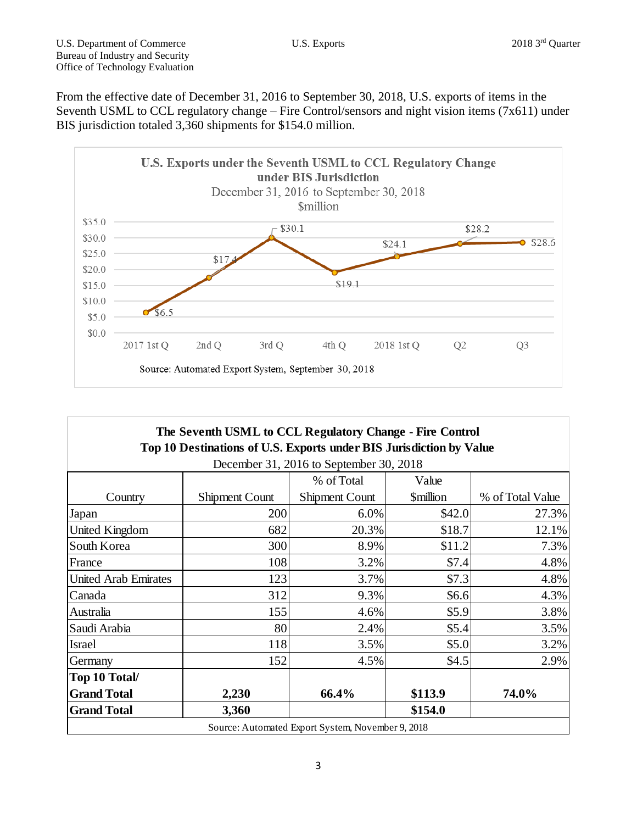From the effective date of December 31, 2016 to September 30, 2018, U.S. exports of items in the Seventh USML to CCL regulatory change – Fire Control/sensors and night vision items (7x611) under BIS jurisdiction totaled 3,360 shipments for \$154.0 million.



| The Seventh USML to CCL Regulatory Change - Fire Control            |
|---------------------------------------------------------------------|
| Top 10 Destinations of U.S. Exports under BIS Jurisdiction by Value |

| December 31, 2016 to September 30, 2018           |                       |                       |                        |                  |  |
|---------------------------------------------------|-----------------------|-----------------------|------------------------|------------------|--|
|                                                   |                       | % of Total            | Value                  |                  |  |
| Country                                           | <b>Shipment Count</b> | <b>Shipment Count</b> | <i><b>Smillion</b></i> | % of Total Value |  |
| Japan                                             | 200                   | 6.0%                  | \$42.0                 | 27.3%            |  |
| United Kingdom                                    | 682                   | 20.3%                 | \$18.7                 | 12.1%            |  |
| South Korea                                       | 300                   | 8.9%                  | \$11.2                 | 7.3%             |  |
| France                                            | 108                   | 3.2%                  | \$7.4                  | 4.8%             |  |
| <b>United Arab Emirates</b>                       | 123                   | 3.7%                  | \$7.3                  | 4.8%             |  |
| Canada                                            | 312                   | 9.3%                  | \$6.6                  | 4.3%             |  |
| Australia                                         | 155                   | 4.6%                  | \$5.9                  | 3.8%             |  |
| Saudi Arabia                                      | 80                    | 2.4%                  | \$5.4                  | 3.5%             |  |
| <b>Israel</b>                                     | 118                   | 3.5%                  | \$5.0                  | 3.2%             |  |
| Germany                                           | 152                   | 4.5%                  | \$4.5                  | 2.9%             |  |
| Top 10 Total/                                     |                       |                       |                        |                  |  |
| <b>Grand Total</b>                                | 2,230                 | 66.4%                 | \$113.9                | 74.0%            |  |
| <b>Grand Total</b>                                | 3,360                 |                       | \$154.0                |                  |  |
| Source: Automated Export System, November 9, 2018 |                       |                       |                        |                  |  |